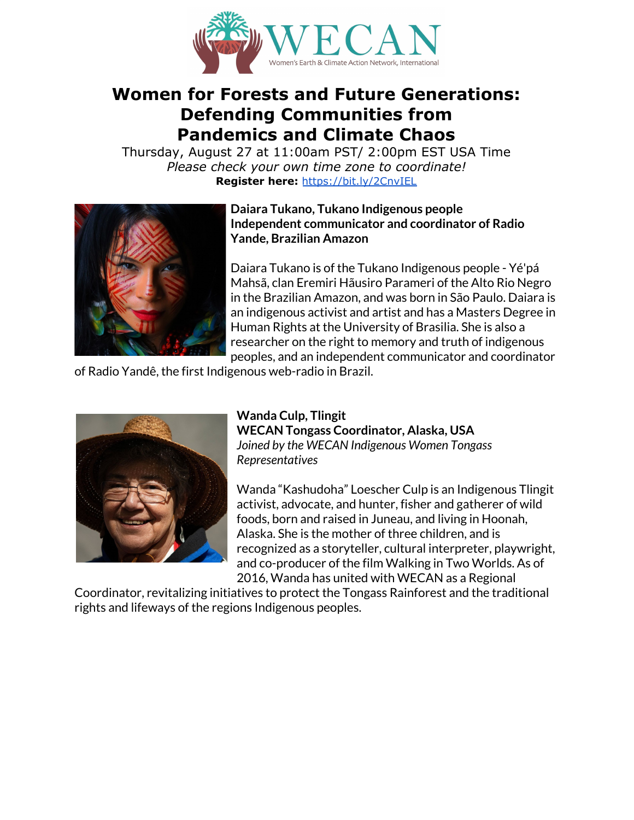

# **Women for Forests and Future Generations: Defending Communities from Pandemics and Climate Chaos**

Thursday, August 27 at 11:00am PST/ 2:00pm EST USA Time *Please check your own time zone to coordinate!* **Register here:** <https://bit.ly/2CnvIEL>



# **Daiara Tukano, Tukano Indigenous people Independent communicator and coordinator of Radio Yande, Brazilian Amazon**

Daiara Tukano is of the Tukano Indigenous people - Yé'pá Mahsã, clan Eremiri Hãusiro Parameri of the Alto Rio Negro in the Brazilian Amazon, and was born in São Paulo. Daiara is an indigenous activist and artist and has a Masters Degree in Human Rights at the University of Brasilia. She is also a researcher on the right to memory and truth of indigenous peoples, and an independent communicator and coordinator

of Radio Yandê, the first Indigenous web-radio in Brazil.



## **Wanda Culp, Tlingit WECAN Tongass Coordinator, Alaska, USA** *Joined by the WECAN Indigenous Women Tongass Representatives*

Wanda "Kashudoha" Loescher Culp is an Indigenous Tlingit activist, advocate, and hunter, fisher and gatherer of wild foods, born and raised in Juneau, and living in Hoonah, Alaska. She is the mother of three children, and is recognized as a storyteller, cultural interpreter, playwright, and co-producer of the film Walking in Two Worlds. As of 2016, Wanda has united with WECAN as a Regional

Coordinator, revitalizing initiatives to protect the Tongass Rainforest and the traditional rights and lifeways of the regions Indigenous peoples.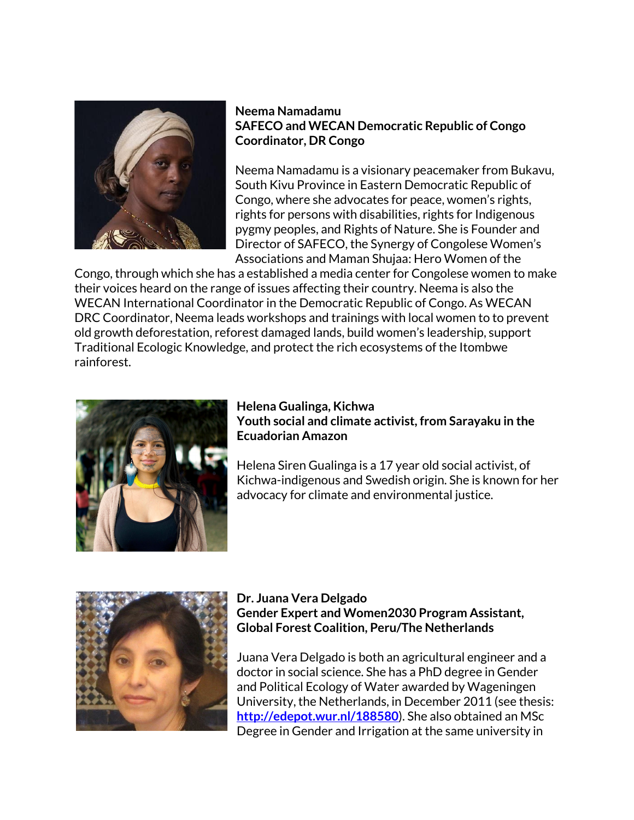

## **Neema Namadamu SAFECO and WECAN Democratic Republic of Congo Coordinator, DR Congo**

Neema Namadamu is a visionary peacemaker from Bukavu, South Kivu Province in Eastern Democratic Republic of Congo, where she advocates for peace, women's rights, rights for persons with disabilities, rights for Indigenous pygmy peoples, and Rights of Nature. She is Founder and Director of SAFECO, the Synergy of Congolese Women's Associations and Maman Shujaa: Hero Women of the

Congo, through which she has a established a media center for Congolese women to make their voices heard on the range of issues affecting their country. Neema is also the WECAN International Coordinator in the Democratic Republic of Congo. As WECAN DRC Coordinator, Neema leads workshops and trainings with local women to to prevent old growth deforestation, reforest damaged lands, build women's leadership, support Traditional Ecologic Knowledge, and protect the rich ecosystems of the Itombwe rainforest.



# **Helena Gualinga, Kichwa Youth social and climate activist, from Sarayaku in the Ecuadorian Amazon**

Helena Siren Gualinga is a 17 year old social activist, of Kichwa-indigenous and Swedish origin. She is known for her advocacy for climate and environmental justice.



#### **Dr. Juana Vera Delgado Gender Expert and Women2030 Program Assistant, Global Forest Coalition, Peru/The Netherlands**

Juana Vera Delgado is both an agricultural engineer and a doctor in social science. She has a PhD degree in Gender and Political Ecology of Water awarded by Wageningen University, the Netherlands, in December 2011 (see thesis: **<http://edepot.wur.nl/188580>**). She also obtained an MSc Degree in Gender and Irrigation at the same university in